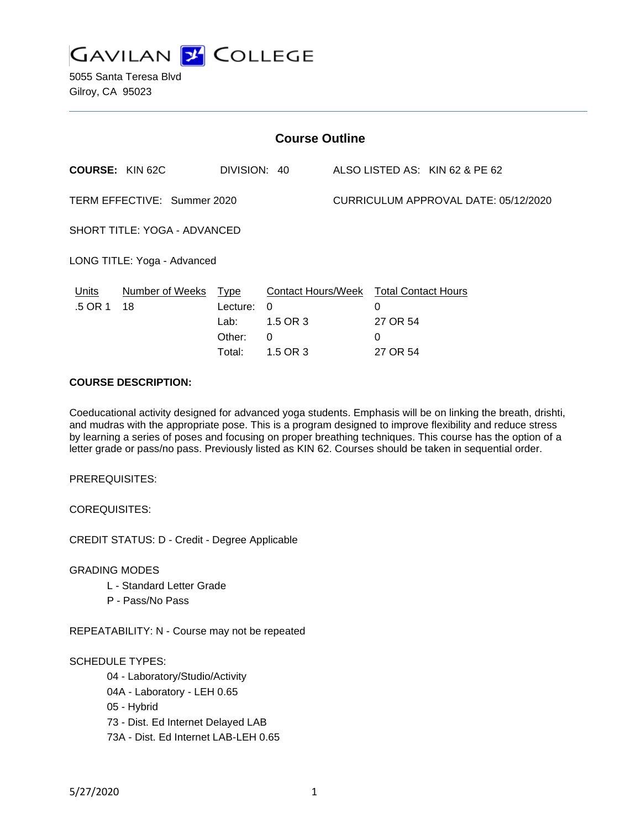

5055 Santa Teresa Blvd Gilroy, CA 95023

| <b>Course Outline</b>                          |                                      |                                                                                 |        |                      |                                |
|------------------------------------------------|--------------------------------------|---------------------------------------------------------------------------------|--------|----------------------|--------------------------------|
| <b>COURSE: KIN 62C</b>                         |                                      | DIVISION: 40                                                                    |        |                      | ALSO LISTED AS: KIN 62 & PE 62 |
| TERM EFFECTIVE: Summer 2020                    | CURRICULUM APPROVAL DATE: 05/12/2020 |                                                                                 |        |                      |                                |
| SHORT TITLE: YOGA - ADVANCED                   |                                      |                                                                                 |        |                      |                                |
| LONG TITLE: Yoga - Advanced                    |                                      |                                                                                 |        |                      |                                |
| Units<br>Number of Weeks Type<br>.5 OR 1<br>18 | Lecture:<br>Lab:<br>Other:<br>Total: | Contact Hours/Week Total Contact Hours<br>$\Omega$<br>1.5 OR 3<br>0<br>1.5 OR 3 | 0<br>0 | 27 OR 54<br>27 OR 54 |                                |

## **COURSE DESCRIPTION:**

Coeducational activity designed for advanced yoga students. Emphasis will be on linking the breath, drishti, and mudras with the appropriate pose. This is a program designed to improve flexibility and reduce stress by learning a series of poses and focusing on proper breathing techniques. This course has the option of a letter grade or pass/no pass. Previously listed as KIN 62. Courses should be taken in sequential order.

PREREQUISITES:

COREQUISITES:

CREDIT STATUS: D - Credit - Degree Applicable

GRADING MODES

- L Standard Letter Grade
- P Pass/No Pass

REPEATABILITY: N - Course may not be repeated

SCHEDULE TYPES:

04 - Laboratory/Studio/Activity

- 04A Laboratory LEH 0.65
- 05 Hybrid
- 73 Dist. Ed Internet Delayed LAB
- 73A Dist. Ed Internet LAB-LEH 0.65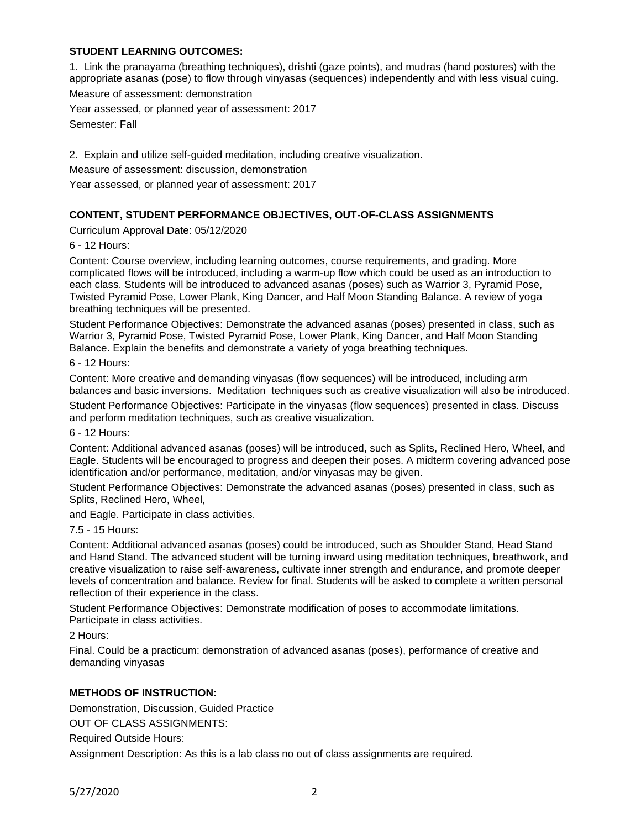## **STUDENT LEARNING OUTCOMES:**

1. Link the pranayama (breathing techniques), drishti (gaze points), and mudras (hand postures) with the appropriate asanas (pose) to flow through vinyasas (sequences) independently and with less visual cuing. Measure of assessment: demonstration

Year assessed, or planned year of assessment: 2017 Semester: Fall

2. Explain and utilize self-guided meditation, including creative visualization.

Measure of assessment: discussion, demonstration

Year assessed, or planned year of assessment: 2017

# **CONTENT, STUDENT PERFORMANCE OBJECTIVES, OUT-OF-CLASS ASSIGNMENTS**

Curriculum Approval Date: 05/12/2020

6 - 12 Hours:

Content: Course overview, including learning outcomes, course requirements, and grading. More complicated flows will be introduced, including a warm-up flow which could be used as an introduction to each class. Students will be introduced to advanced asanas (poses) such as Warrior 3, Pyramid Pose, Twisted Pyramid Pose, Lower Plank, King Dancer, and Half Moon Standing Balance. A review of yoga breathing techniques will be presented.

Student Performance Objectives: Demonstrate the advanced asanas (poses) presented in class, such as Warrior 3, Pyramid Pose, Twisted Pyramid Pose, Lower Plank, King Dancer, and Half Moon Standing Balance. Explain the benefits and demonstrate a variety of yoga breathing techniques.

6 - 12 Hours:

Content: More creative and demanding vinyasas (flow sequences) will be introduced, including arm balances and basic inversions. Meditation techniques such as creative visualization will also be introduced.

Student Performance Objectives: Participate in the vinyasas (flow sequences) presented in class. Discuss and perform meditation techniques, such as creative visualization.

6 - 12 Hours:

Content: Additional advanced asanas (poses) will be introduced, such as Splits, Reclined Hero, Wheel, and Eagle. Students will be encouraged to progress and deepen their poses. A midterm covering advanced pose identification and/or performance, meditation, and/or vinyasas may be given.

Student Performance Objectives: Demonstrate the advanced asanas (poses) presented in class, such as Splits, Reclined Hero, Wheel,

and Eagle. Participate in class activities.

7.5 - 15 Hours:

Content: Additional advanced asanas (poses) could be introduced, such as Shoulder Stand, Head Stand and Hand Stand. The advanced student will be turning inward using meditation techniques, breathwork, and creative visualization to raise self-awareness, cultivate inner strength and endurance, and promote deeper levels of concentration and balance. Review for final. Students will be asked to complete a written personal reflection of their experience in the class.

Student Performance Objectives: Demonstrate modification of poses to accommodate limitations. Participate in class activities.

2 Hours:

Final. Could be a practicum: demonstration of advanced asanas (poses), performance of creative and demanding vinyasas

### **METHODS OF INSTRUCTION:**

Demonstration, Discussion, Guided Practice

OUT OF CLASS ASSIGNMENTS:

Required Outside Hours:

Assignment Description: As this is a lab class no out of class assignments are required.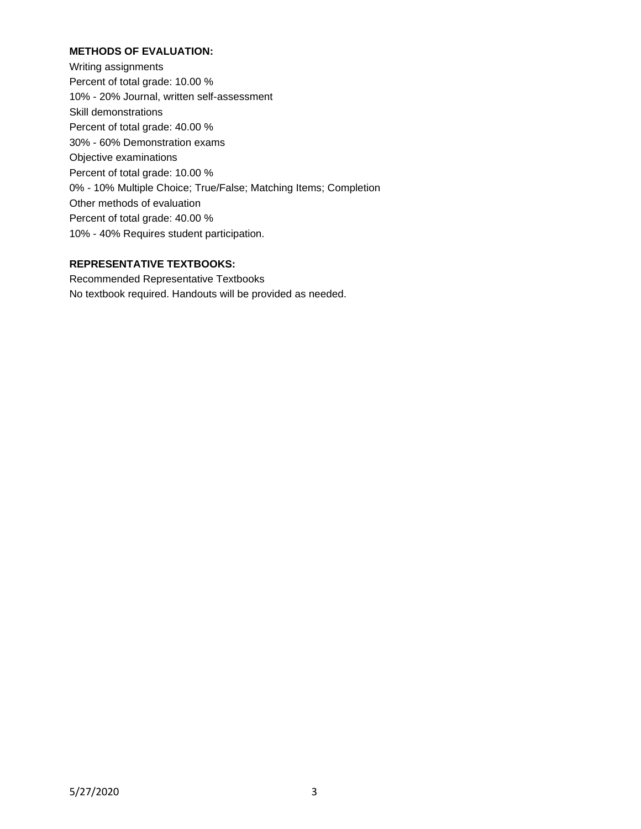## **METHODS OF EVALUATION:**

Writing assignments Percent of total grade: 10.00 % 10% - 20% Journal, written self-assessment Skill demonstrations Percent of total grade: 40.00 % 30% - 60% Demonstration exams Objective examinations Percent of total grade: 10.00 % 0% - 10% Multiple Choice; True/False; Matching Items; Completion Other methods of evaluation Percent of total grade: 40.00 % 10% - 40% Requires student participation.

### **REPRESENTATIVE TEXTBOOKS:**

Recommended Representative Textbooks No textbook required. Handouts will be provided as needed.